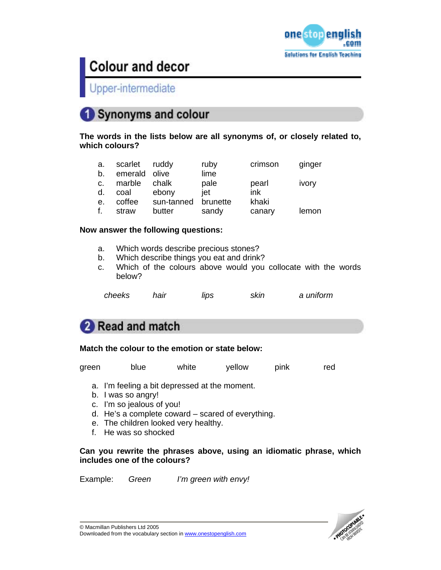

Upper-intermediate

## Synonyms and colour

**The words in the lists below are all synonyms of, or closely related to, which colours?** 

| a. | scarlet ruddy |            | ruby     | crimson | ginger |
|----|---------------|------------|----------|---------|--------|
| b. | emerald olive |            | lime     |         |        |
| C. | marble        | chalk      | pale     | pearl   | ivory  |
| d. | coal          | ebony      | iet      | ink     |        |
| e. | coffee        | sun-tanned | brunette | khaki   |        |
| f. | straw         | butter     | sandy    | canary  | lemon  |

### **Now answer the following questions:**

- a. Which words describe precious stones?
- b. Which describe things you eat and drink?
- c. Which of the colours above would you collocate with the words below?

| cheeks | hair | lips | skin | a uniform |
|--------|------|------|------|-----------|
|--------|------|------|------|-----------|

## Read and match

### **Match the colour to the emotion or state below:**

green blue white yellow pink red

- a. I'm feeling a bit depressed at the moment.
- b. I was so angry!
- c. I'm so jealous of you!
- d. He's a complete coward scared of everything.
- e. The children looked very healthy.
- f. He was so shocked

### **Can you rewrite the phrases above, using an idiomatic phrase, which includes one of the colours?**

Example: *Green I'm green with envy!* 

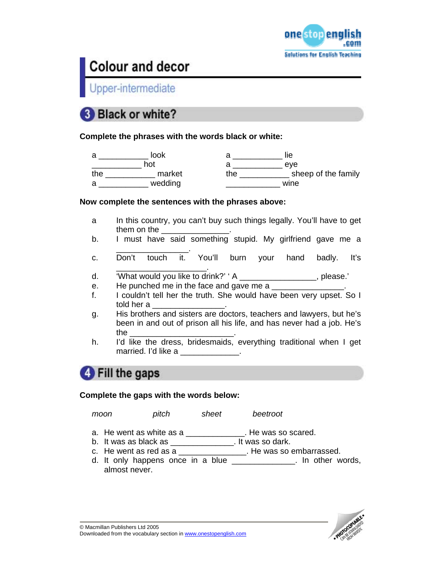

Upper-intermediate

## **Black or white?**

**Complete the phrases with the words black or white:** 

| a   | look    |     | lie                 |
|-----|---------|-----|---------------------|
|     | hot     |     | eve                 |
| the | market  | the | sheep of the family |
| a   | wedding |     | wine                |

### **Now complete the sentences with the phrases above:**

- a In this country, you can't buy such things legally. You'll have to get them on the
- b. I must have said something stupid. My girlfriend gave me a \_\_\_\_\_\_\_\_\_\_\_\_\_\_\_\_.
- c. Don't touch it. You'll burn your hand badly. It's
- \_\_\_\_\_\_\_\_\_\_\_\_\_\_\_\_\_\_\_\_. d. 'What would you like to drink?' ' A \_\_\_\_\_\_\_\_\_\_\_\_\_\_\_\_\_, please.'
- e. He punched me in the face and gave me a
- f. I couldn't tell her the truth. She would have been very upset. So I told her a \_\_\_\_\_\_\_\_\_\_\_\_\_\_\_\_.
- g. His brothers and sisters are doctors, teachers and lawyers, but he's been in and out of prison all his life, and has never had a job. He's the \_\_\_\_\_\_\_\_\_\_\_\_\_\_\_\_\_\_\_\_\_\_\_.
- h. I'd like the dress, bridesmaids, everything traditional when I get married. I'd like a \_\_\_\_\_\_\_\_\_\_\_\_\_.

## **4** Fill the gaps

### **Complete the gaps with the words below:**

*moon pitch sheet beetroot* 

- a. He went as white as a \_\_\_\_\_\_\_\_\_\_\_\_\_. He was so scared.
- b. It was as black as \_\_\_\_\_\_\_\_\_\_\_\_\_\_. It was so dark.
- c. He went as red as a \_\_\_\_\_\_\_\_\_\_\_\_\_\_\_. He was so embarrassed.
- d. It only happens once in a blue \_\_\_\_\_\_\_\_\_\_\_\_\_\_. In other words, almost never.

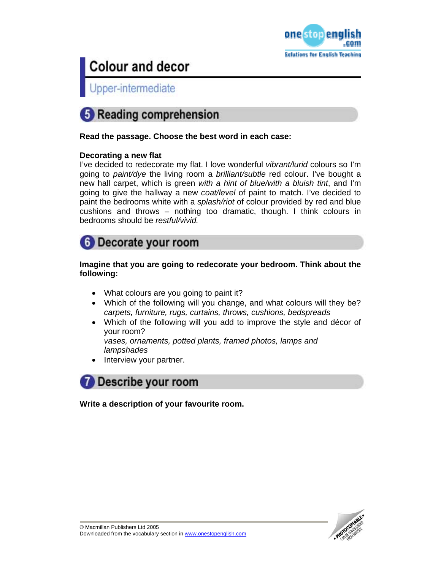

Upper-intermediate



**Read the passage. Choose the best word in each case:** 

### **Decorating a new flat**

I've decided to redecorate my flat. I love wonderful *vibrant/lurid* colours so I'm going to *paint/dye* the living room a *brilliant/subtle* red colour. I've bought a new hall carpet, which is green *with a hint of blue/with a bluish tint*, and I'm going to give the hallway a new *coat/level* of paint to match. I've decided to paint the bedrooms white with a *splash/riot* of colour provided by red and blue cushions and throws – nothing too dramatic, though. I think colours in bedrooms should be *restful/vivid.* 



### **Imagine that you are going to redecorate your bedroom. Think about the following:**

- What colours are you going to paint it?
- Which of the following will you change, and what colours will they be? *carpets, furniture, rugs, curtains, throws, cushions, bedspreads*
- Which of the following will you add to improve the style and décor of your room?

*vases, ornaments, potted plants, framed photos, lamps and lampshades* 

Interview your partner.



**Write a description of your favourite room.** 

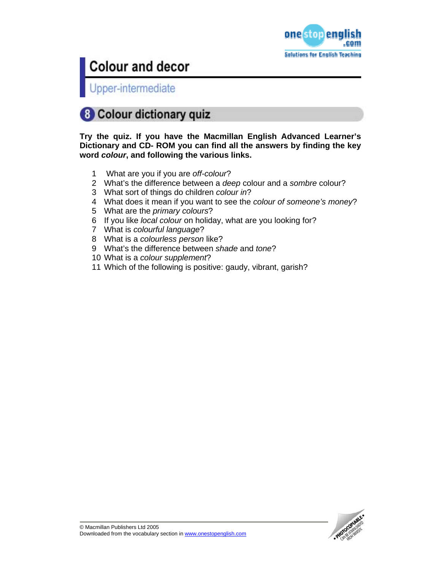

Upper-intermediate

## **8 Colour dictionary quiz**

**Try the quiz. If you have the Macmillan English Advanced Learner's Dictionary and CD- ROM you can find all the answers by finding the key word** *colour***, and following the various links.** 

- 1 What are you if you are *off-colour*?
- 2 What's the difference between a *deep* colour and a *sombre* colour?
- 3 What sort of things do children *colour in*?
- 4 What does it mean if you want to see the *colour of someone's money*?
- 5 What are the *primary colours*?
- 6 If you like *local colour* on holiday, what are you looking for?
- 7 What is *colourful language*?
- 8 What is a *colourless person* like?
- 9 What's the difference between *shade* and *tone*?
- 10 What is a *colour supplement*?
- 11 Which of the following is positive: gaudy, vibrant, garish?

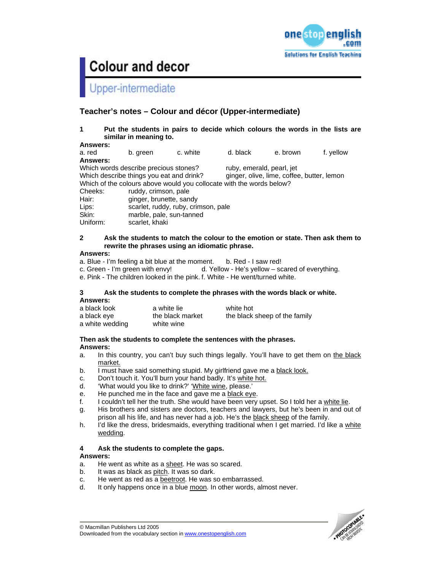

## Upper-intermediate

## **Teacher's notes – Colour and décor (Upper-intermediate)**

**1 Put the students in pairs to decide which colours the words in the lists are similar in meaning to.** 

**Answers:**  a. red b. green c. white d. black e. brown f. yellow **Answers:**  Which words describe precious stones? ruby, emerald, pearl, jet Which describe things you eat and drink? ginger, olive, lime, coffee, butter, lemon Which of the colours above would you collocate with the words below? Cheeks: ruddy, crimson, pale Hair: ginger, brunette, sandy Lips: scarlet, ruddy, ruby, crimson, pale Skin: marble, pale, sun-tanned Uniform: scarlet, khaki

#### **2 Ask the students to match the colour to the emotion or state. Then ask them to rewrite the phrases using an idiomatic phrase.**

#### **Answers:**

- a. Blue I'm feeling a bit blue at the moment. b. Red I saw red!
- c. Green I'm green with envy! d. Yellow He's yellow scared of everything.
- e. Pink The children looked in the pink. f. White He went/turned white.

#### **3 Ask the students to complete the phrases with the words black or white. Answers:**

| a black look    | a white lie      | white hot                     |
|-----------------|------------------|-------------------------------|
| a black eve     | the black market | the black sheep of the family |
| a white wedding | white wine       |                               |

## **Then ask the students to complete the sentences with the phrases.**

### **Answers:**

- a. In this country, you can't buy such things legally. You'll have to get them on the black market.
- b. I must have said something stupid. My girlfriend gave me a black look.
- c. Don't touch it. You'll burn your hand badly. It's white hot.
- d. 'What would you like to drink?' 'White wine, please.'
- e. He punched me in the face and gave me a black eye.
- f. I couldn't tell her the truth. She would have been very upset. So I told her a white lie.
- g. His brothers and sisters are doctors, teachers and lawyers, but he's been in and out of prison all his life, and has never had a job. He's the black sheep of the family.
- h. I'd like the dress, bridesmaids, everything traditional when I get married. I'd like a white wedding.

### **4 Ask the students to complete the gaps.**

### **Answers:**

- a. He went as white as a sheet. He was so scared.
- b. It was as black as pitch. It was so dark.
- c. He went as red as a beetroot. He was so embarrassed.
- d. It only happens once in a blue moon. In other words, almost never.